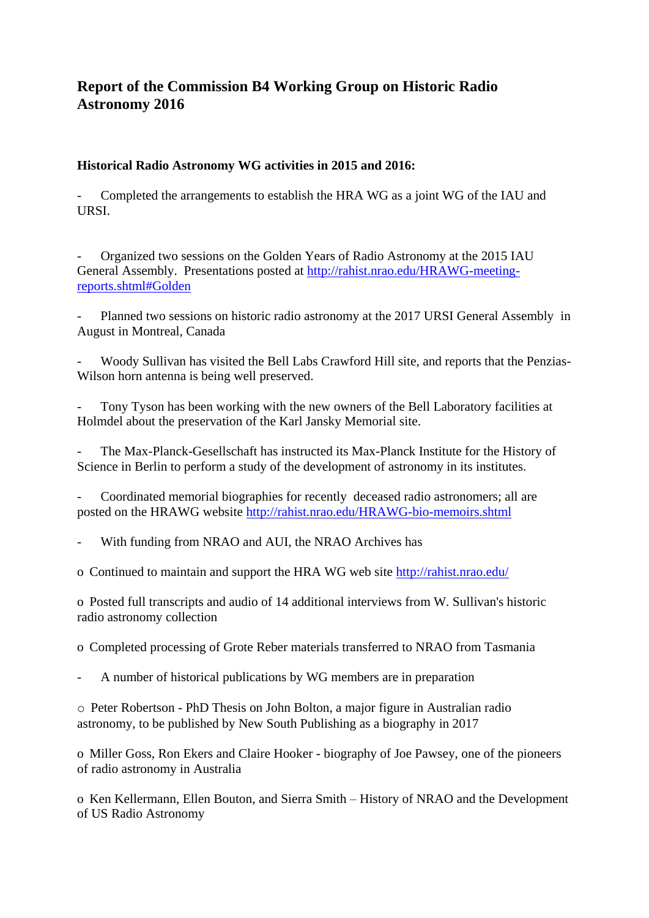## **Report of the Commission B4 Working Group on Historic Radio Astronomy 2016**

## **Historical Radio Astronomy WG activities in 2015 and 2016:**

Completed the arrangements to establish the HRA WG as a joint WG of the IAU and URSI.

- Organized two sessions on the Golden Years of Radio Astronomy at the 2015 IAU General Assembly. Presentations posted at [http://rahist.nrao.edu/HRAWG-meeting](http://rahist.nrao.edu/HRAWG-meeting-reports.shtml#Golden)[reports.shtml#Golden](http://rahist.nrao.edu/HRAWG-meeting-reports.shtml#Golden)

Planned two sessions on historic radio astronomy at the 2017 URSI General Assembly in August in Montreal, Canada

- Woody Sullivan has visited the Bell Labs Crawford Hill site, and reports that the Penzias-Wilson horn antenna is being well preserved.

- Tony Tyson has been working with the new owners of the Bell Laboratory facilities at Holmdel about the preservation of the Karl Jansky Memorial site.

The Max-Planck-Gesellschaft has instructed its Max-Planck Institute for the History of Science in Berlin to perform a study of the development of astronomy in its institutes.

- Coordinated memorial biographies for recently deceased radio astronomers; all are posted on the HRAWG website [http://rahist.nrao.edu/HRAWG-bio-memoirs.shtml](http://rahist.nrao.edu/HRAWG-bio-memoirs.shtml#_blank)

With funding from NRAO and AUI, the NRAO Archives has

o Continued to maintain and support the HRA WG web site [http://rahist.nrao.edu/](http://rahist.nrao.edu/#_blank)

o Posted full transcripts and audio of 14 additional interviews from W. Sullivan's historic radio astronomy collection

o Completed processing of Grote Reber materials transferred to NRAO from Tasmania

- A number of historical publications by WG members are in preparation

o Peter Robertson - PhD Thesis on John Bolton, a major figure in Australian radio astronomy, to be published by New South Publishing as a biography in 2017

o Miller Goss, Ron Ekers and Claire Hooker - biography of Joe Pawsey, one of the pioneers of radio astronomy in Australia

o Ken Kellermann, Ellen Bouton, and Sierra Smith – History of NRAO and the Development of US Radio Astronomy